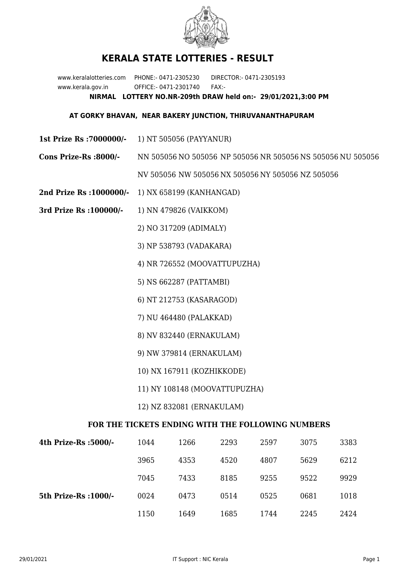

## **KERALA STATE LOTTERIES - RESULT**

www.keralalotteries.com PHONE:- 0471-2305230 DIRECTOR:- 0471-2305193 www.kerala.gov.in OFFICE:- 0471-2301740 FAX:- **NIRMAL LOTTERY NO.NR-209th DRAW held on:- 29/01/2021,3:00 PM**

## **AT GORKY BHAVAN, NEAR BAKERY JUNCTION, THIRUVANANTHAPURAM**

- **1st Prize Rs :7000000/-** 1) NT 505056 (PAYYANUR)
- **Cons Prize-Rs :8000/-** NN 505056 NO 505056 NP 505056 NR 505056 NS 505056 NU 505056

NV 505056 NW 505056 NX 505056 NY 505056 NZ 505056

- **2nd Prize Rs :1000000/-** 1) NX 658199 (KANHANGAD)
- **3rd Prize Rs :100000/-** 1) NN 479826 (VAIKKOM)

2) NO 317209 (ADIMALY)

3) NP 538793 (VADAKARA)

4) NR 726552 (MOOVATTUPUZHA)

5) NS 662287 (PATTAMBI)

6) NT 212753 (KASARAGOD)

7) NU 464480 (PALAKKAD)

- 8) NV 832440 (ERNAKULAM)
- 9) NW 379814 (ERNAKULAM)
- 10) NX 167911 (KOZHIKKODE)
- 11) NY 108148 (MOOVATTUPUZHA)

12) NZ 832081 (ERNAKULAM)

## **FOR THE TICKETS ENDING WITH THE FOLLOWING NUMBERS**

| 4th Prize-Rs :5000/-  | 1044 | 1266 | 2293 | 2597 | 3075 | 3383 |
|-----------------------|------|------|------|------|------|------|
|                       | 3965 | 4353 | 4520 | 4807 | 5629 | 6212 |
|                       | 7045 | 7433 | 8185 | 9255 | 9522 | 9929 |
| 5th Prize-Rs : 1000/- | 0024 | 0473 | 0514 | 0525 | 0681 | 1018 |
|                       | 1150 | 1649 | 1685 | 1744 | 2245 | 2424 |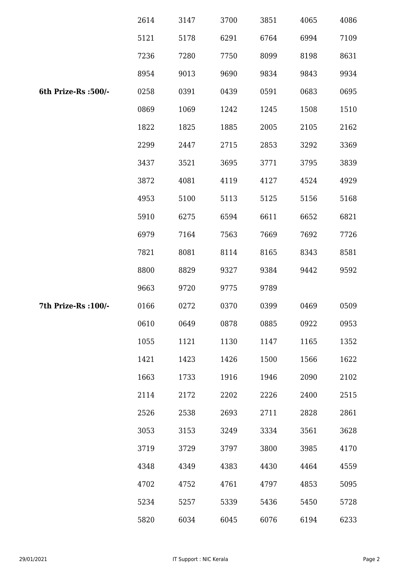|                      | 2614 | 3147 | 3700 | 3851 | 4065 | 4086 |
|----------------------|------|------|------|------|------|------|
|                      | 5121 | 5178 | 6291 | 6764 | 6994 | 7109 |
|                      | 7236 | 7280 | 7750 | 8099 | 8198 | 8631 |
|                      | 8954 | 9013 | 9690 | 9834 | 9843 | 9934 |
| 6th Prize-Rs : 500/- | 0258 | 0391 | 0439 | 0591 | 0683 | 0695 |
|                      | 0869 | 1069 | 1242 | 1245 | 1508 | 1510 |
|                      | 1822 | 1825 | 1885 | 2005 | 2105 | 2162 |
|                      | 2299 | 2447 | 2715 | 2853 | 3292 | 3369 |
|                      | 3437 | 3521 | 3695 | 3771 | 3795 | 3839 |
|                      | 3872 | 4081 | 4119 | 4127 | 4524 | 4929 |
|                      | 4953 | 5100 | 5113 | 5125 | 5156 | 5168 |
|                      | 5910 | 6275 | 6594 | 6611 | 6652 | 6821 |
|                      | 6979 | 7164 | 7563 | 7669 | 7692 | 7726 |
|                      | 7821 | 8081 | 8114 | 8165 | 8343 | 8581 |
|                      | 8800 | 8829 | 9327 | 9384 | 9442 | 9592 |
|                      | 9663 | 9720 | 9775 | 9789 |      |      |
| 7th Prize-Rs : 100/- | 0166 | 0272 | 0370 | 0399 | 0469 | 0509 |
|                      | 0610 | 0649 | 0878 | 0885 | 0922 | 0953 |
|                      | 1055 | 1121 | 1130 | 1147 | 1165 | 1352 |
|                      | 1421 | 1423 | 1426 | 1500 | 1566 | 1622 |
|                      | 1663 | 1733 | 1916 | 1946 | 2090 | 2102 |
|                      | 2114 | 2172 | 2202 | 2226 | 2400 | 2515 |
|                      | 2526 | 2538 | 2693 | 2711 | 2828 | 2861 |
|                      | 3053 | 3153 | 3249 | 3334 | 3561 | 3628 |
|                      | 3719 | 3729 | 3797 | 3800 | 3985 | 4170 |
|                      | 4348 | 4349 | 4383 | 4430 | 4464 | 4559 |
|                      | 4702 | 4752 | 4761 | 4797 | 4853 | 5095 |
|                      | 5234 | 5257 | 5339 | 5436 | 5450 | 5728 |
|                      | 5820 | 6034 | 6045 | 6076 | 6194 | 6233 |